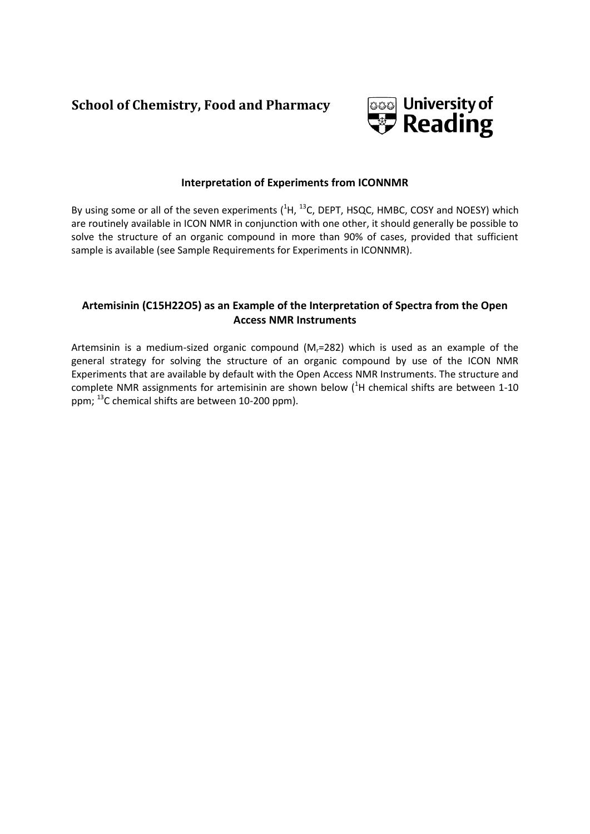# **School of Chemistry, Food and Pharmacy**



## **Interpretation of Experiments from ICONNMR**

By using some or all of the seven experiments  $(^1H, ^{13}C,$  DEPT, HSQC, HMBC, COSY and NOESY) which are routinely available in ICON NMR in conjunction with one other, it should generally be possible to solve the structure of an organic compound in more than 90% of cases, provided that sufficient sample is available (see Sample Requirements for Experiments in ICONNMR).

## **Artemisinin (C15H22O5) as an Example of the Interpretation of Spectra from the Open Access NMR Instruments**

Artemsinin is a medium-sized organic compound  $(M<sub>r</sub>=282)$  which is used as an example of the general strategy for solving the structure of an organic compound by use of the ICON NMR Experiments that are available by default with the Open Access NMR Instruments. The structure and complete NMR assignments for artemisinin are shown below  $(^1H$  chemical shifts are between 1-10 ppm; <sup>13</sup>C chemical shifts are between 10-200 ppm).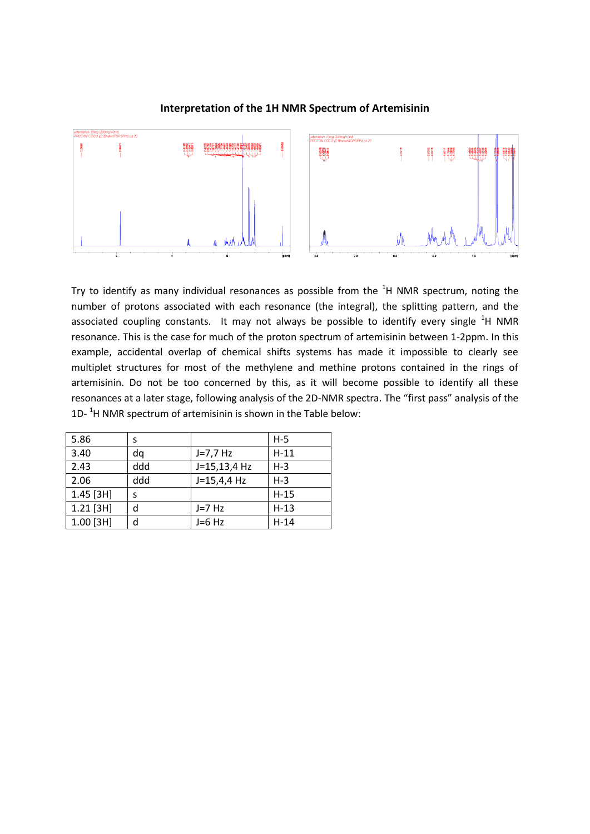

## **Interpretation of the 1H NMR Spectrum of Artemisinin**

Try to identify as many individual resonances as possible from the  ${}^{1}$ H NMR spectrum, noting the number of protons associated with each resonance (the integral), the splitting pattern, and the associated coupling constants. It may not always be possible to identify every single  ${}^{1}$ H NMR resonance. This is the case for much of the proton spectrum of artemisinin between 1-2ppm. In this example, accidental overlap of chemical shifts systems has made it impossible to clearly see multiplet structures for most of the methylene and methine protons contained in the rings of artemisinin. Do not be too concerned by this, as it will become possible to identify all these resonances at a later stage, following analysis of the 2D-NMR spectra. The "first pass" analysis of the  $1D-$ <sup>1</sup>H NMR spectrum of artemisinin is shown in the Table below:

| 5.86        | s   |               | $H-5$   |
|-------------|-----|---------------|---------|
| 3.40        | da  | $J=7.7$ Hz    | $H-11$  |
| 2.43        | ddd | J=15,13,4 Hz  | $H - 3$ |
| 2.06        | ddd | $J=15,4,4$ Hz | $H - 3$ |
| $1.45$ [3H] | S   |               | $H-15$  |
| $1.21$ [3H] | d   | $J=7$ Hz      | $H-13$  |
| $1.00$ [3H] | d   | $J=6$ Hz      | $H-14$  |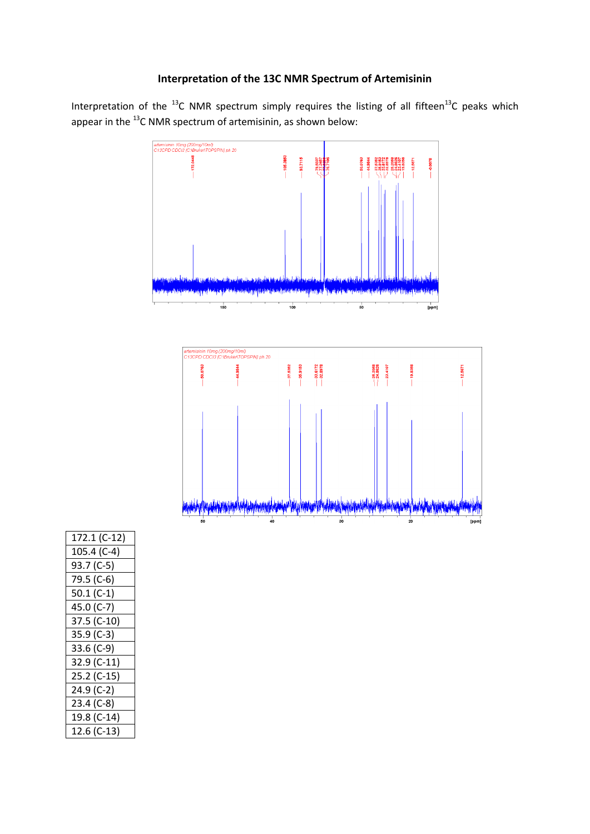## **Interpretation of the 13C NMR Spectrum of Artemisinin**

Interpretation of the  $^{13}$ C NMR spectrum simply requires the listing of all fifteen<sup>13</sup>C peaks which appear in the <sup>13</sup>C NMR spectrum of artemisinin, as shown below:



| 172.1 (C-12) |
|--------------|
| 105.4 (C-4)  |
| 93.7 (C-5)   |
| 79.5 (C-6)   |
| $50.1 (C-1)$ |
| 45.0 (C-7)   |
| 37.5 (C-10)  |
| 35.9 (C-3)   |
| 33.6 (C-9)   |
| 32.9 (C-11)  |
| 25.2 (C-15)  |
| 24.9 (C-2)   |
| $23.4 (C-8)$ |
| 19.8 (C-14)  |
| 12.6 (C-13)  |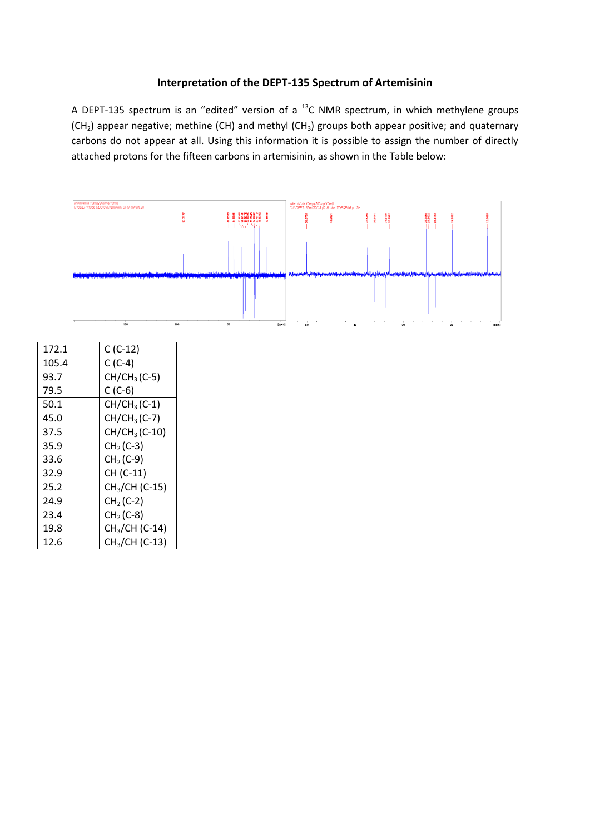## **Interpretation of the DEPT-135 Spectrum of Artemisinin**

A DEPT-135 spectrum is an "edited" version of a  $^{13}$ C NMR spectrum, in which methylene groups  $(CH<sub>2</sub>)$  appear negative; methine (CH) and methyl (CH<sub>3</sub>) groups both appear positive; and quaternary carbons do not appear at all. Using this information it is possible to assign the number of directly attached protons for the fifteen carbons in artemisinin, as shown in the Table below:



| ∸∽   | - 1- 1                     |
|------|----------------------------|
| 93.7 | $CH/CH3(C-5)$              |
| 79.5 | $C(C-6)$                   |
| 50.1 | $CH/CH3(C-1)$              |
| 45.0 | $CH/CH3(C-7)$              |
| 37.5 | $CH/CH3(C-10)$             |
| 35.9 | $CH2(C-3)$                 |
| 33.6 | $CH2(C-9)$                 |
| 32.9 | CH (C-11)                  |
| 25.2 | CH <sub>3</sub> /CH (C-15) |
| 24.9 | $CH2(C-2)$                 |
| 23.4 | $CH2(C-8)$                 |
| 19.8 | CH <sub>3</sub> /CH (C-14) |
| 12.6 | CH <sub>3</sub> /CH (C-13) |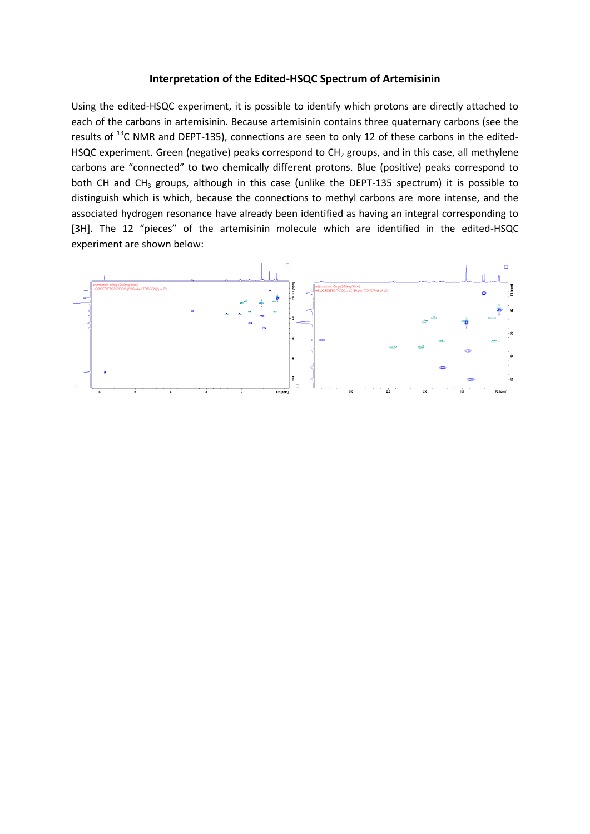#### **Interpretation of the Edited-HSQC Spectrum of Artemisinin**

Using the edited-HSQC experiment, it is possible to identify which protons are directly attached to each of the carbons in artemisinin. Because artemisinin contains three quaternary carbons (see the results of <sup>13</sup>C NMR and DEPT-135), connections are seen to only 12 of these carbons in the edited-HSQC experiment. Green (negative) peaks correspond to CH<sub>2</sub> groups, and in this case, all methylene carbons are "connected" to two chemically different protons. Blue (positive) peaks correspond to both CH and CH<sub>3</sub> groups, although in this case (unlike the DEPT-135 spectrum) it is possible to distinguish which is which, because the connections to methyl carbons are more intense, and the associated hydrogen resonance have already been identified as having an integral corresponding to [3H]. The 12 "pieces" of the artemisinin molecule which are identified in the edited-HSQC experiment are shown below:

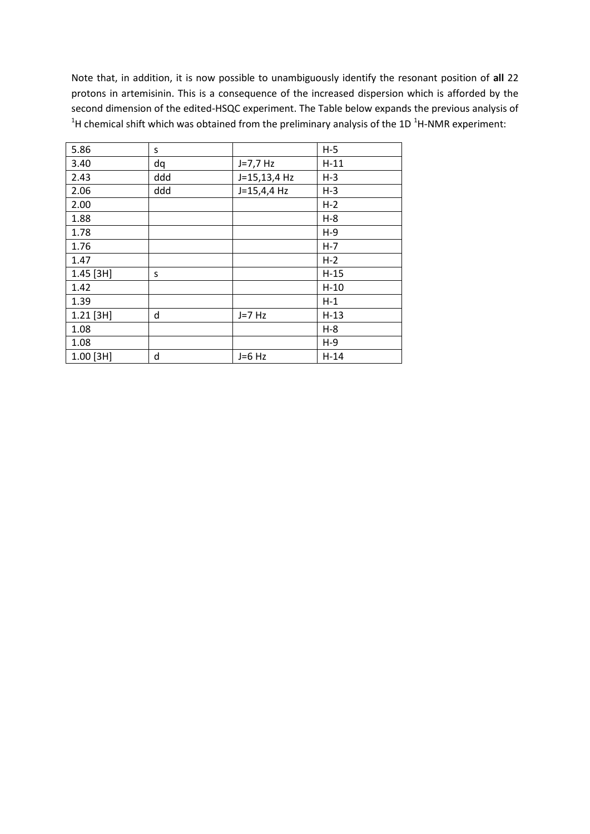Note that, in addition, it is now possible to unambiguously identify the resonant position of **all** 22 protons in artemisinin. This is a consequence of the increased dispersion which is afforded by the second dimension of the edited-HSQC experiment. The Table below expands the previous analysis of <sup>1</sup>H chemical shift which was obtained from the preliminary analysis of the 1D <sup>1</sup>H-NMR experiment:

| 5.86        | S   |               | $H-5$  |
|-------------|-----|---------------|--------|
| 3.40        | dq  | $J=7,7$ Hz    | $H-11$ |
| 2.43        | ddd | J=15,13,4 Hz  | $H-3$  |
| 2.06        | ddd | $J=15,4,4$ Hz | $H-3$  |
| 2.00        |     |               | $H-2$  |
| 1.88        |     |               | $H-8$  |
| 1.78        |     |               | $H-9$  |
| 1.76        |     |               | $H-7$  |
| 1.47        |     |               | $H-2$  |
| $1.45$ [3H] | S   |               | $H-15$ |
| 1.42        |     |               | $H-10$ |
| 1.39        |     |               | $H-1$  |
| $1.21$ [3H] | d   | $J=7$ Hz      | $H-13$ |
| 1.08        |     |               | $H-8$  |
| 1.08        |     |               | $H-9$  |
| $1.00$ [3H] | d   | $J=6$ Hz      | $H-14$ |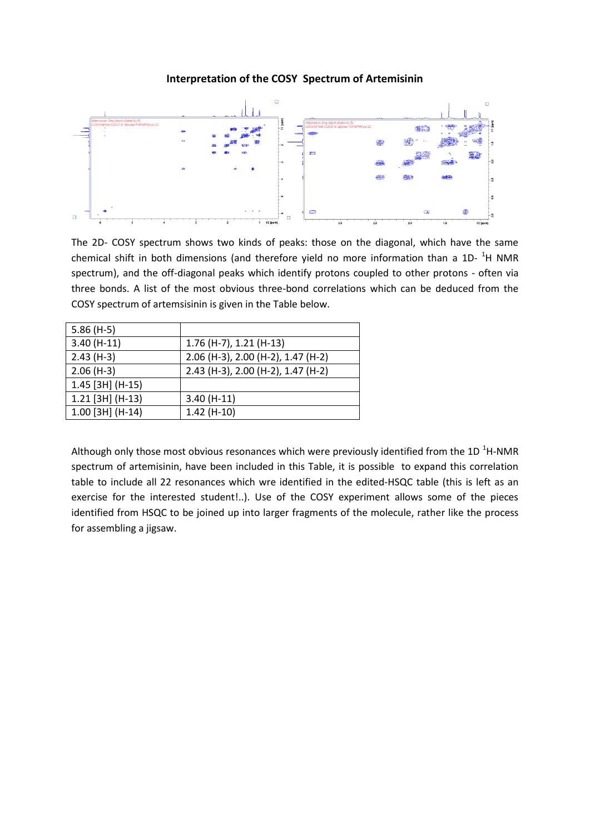## **Interpretation of the COSY Spectrum of Artemisinin**



The 2D- COSY spectrum shows two kinds of peaks: those on the diagonal, which have the same chemical shift in both dimensions (and therefore yield no more information than a 1D-  $^{1}$ H NMR spectrum), and the off-diagonal peaks which identify protons coupled to other protons - often via three bonds. A list of the most obvious three-bond correlations which can be deduced from the COSY spectrum of artemsisinin is given in the Table below.

| $5.86(H-5)$        |                                    |
|--------------------|------------------------------------|
| $3.40(H-11)$       | 1.76 (H-7), 1.21 (H-13)            |
| $2.43(H-3)$        | 2.06 (H-3), 2.00 (H-2), 1.47 (H-2) |
| $2.06(H-3)$        | 2.43 (H-3), 2.00 (H-2), 1.47 (H-2) |
| 1.45 [3H] (H-15)   |                                    |
| $1.21$ [3H] (H-13) | $3.40(H-11)$                       |
| $1.00$ [3H] (H-14) | $1.42(H-10)$                       |

Although only those most obvious resonances which were previously identified from the 1D  $^{1}$ H-NMR spectrum of artemisinin, have been included in this Table, it is possible to expand this correlation table to include all 22 resonances which wre identified in the edited-HSQC table (this is left as an exercise for the interested student!..). Use of the COSY experiment allows some of the pieces identified from HSQC to be joined up into larger fragments of the molecule, rather like the process for assembling a jigsaw.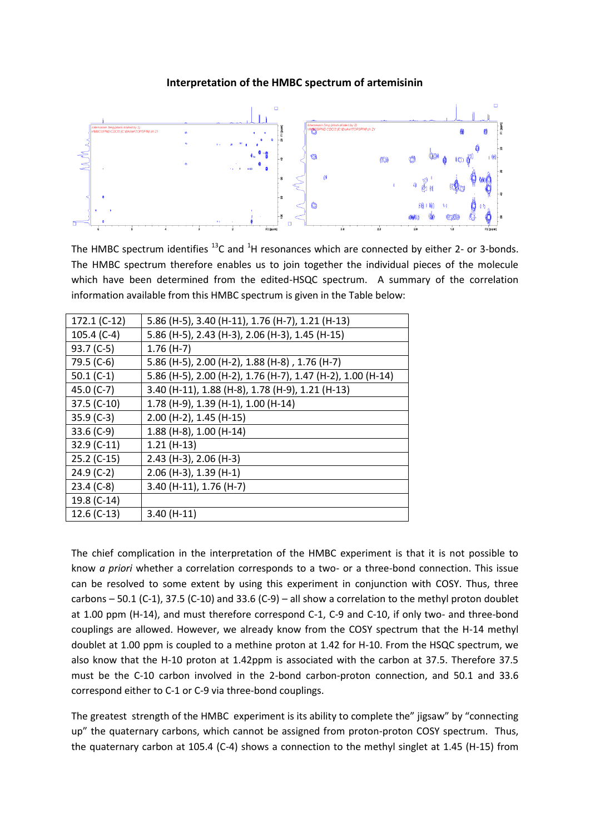## **Interpretation of the HMBC spectrum of artemisinin**



The HMBC spectrum identifies  $^{13}$ C and <sup>1</sup>H resonances which are connected by either 2- or 3-bonds. The HMBC spectrum therefore enables us to join together the individual pieces of the molecule which have been determined from the edited-HSQC spectrum. A summary of the correlation information available from this HMBC spectrum is given in the Table below:

| 172.1 (C-12)  | 5.86 (H-5), 3.40 (H-11), 1.76 (H-7), 1.21 (H-13)            |
|---------------|-------------------------------------------------------------|
| 105.4 (C-4)   | 5.86 (H-5), 2.43 (H-3), 2.06 (H-3), 1.45 (H-15)             |
| 93.7 (C-5)    | $1.76(H-7)$                                                 |
| 79.5 (C-6)    | 5.86 (H-5), 2.00 (H-2), 1.88 (H-8), 1.76 (H-7)              |
| 50.1 $(C-1)$  | 5.86 (H-5), 2.00 (H-2), 1.76 (H-7), 1.47 (H-2), 1.00 (H-14) |
| 45.0 (C-7)    | 3.40 (H-11), 1.88 (H-8), 1.78 (H-9), 1.21 (H-13)            |
| 37.5 (C-10)   | 1.78 (H-9), 1.39 (H-1), 1.00 (H-14)                         |
| 35.9 (C-3)    | 2.00 (H-2), 1.45 (H-15)                                     |
| 33.6 (C-9)    | 1.88 (H-8), 1.00 (H-14)                                     |
| $32.9$ (C-11) | $1.21(H-13)$                                                |
| $25.2$ (C-15) | 2.43 (H-3), 2.06 (H-3)                                      |
| $24.9$ (C-2)  | 2.06 (H-3), 1.39 (H-1)                                      |
| $23.4 (C-8)$  | 3.40 (H-11), 1.76 (H-7)                                     |
| 19.8 (C-14)   |                                                             |
| 12.6 (C-13)   | $3.40(H-11)$                                                |

The chief complication in the interpretation of the HMBC experiment is that it is not possible to know *a priori* whether a correlation corresponds to a two- or a three-bond connection. This issue can be resolved to some extent by using this experiment in conjunction with COSY. Thus, three carbons – 50.1 (C-1), 37.5 (C-10) and 33.6 (C-9) – all show a correlation to the methyl proton doublet at 1.00 ppm (H-14), and must therefore correspond C-1, C-9 and C-10, if only two- and three-bond couplings are allowed. However, we already know from the COSY spectrum that the H-14 methyl doublet at 1.00 ppm is coupled to a methine proton at 1.42 for H-10. From the HSQC spectrum, we also know that the H-10 proton at 1.42ppm is associated with the carbon at 37.5. Therefore 37.5 must be the C-10 carbon involved in the 2-bond carbon-proton connection, and 50.1 and 33.6 correspond either to C-1 or C-9 via three-bond couplings.

The greatest strength of the HMBC experiment is its ability to complete the" jigsaw" by "connecting up" the quaternary carbons, which cannot be assigned from proton-proton COSY spectrum. Thus, the quaternary carbon at 105.4 (C-4) shows a connection to the methyl singlet at 1.45 (H-15) from